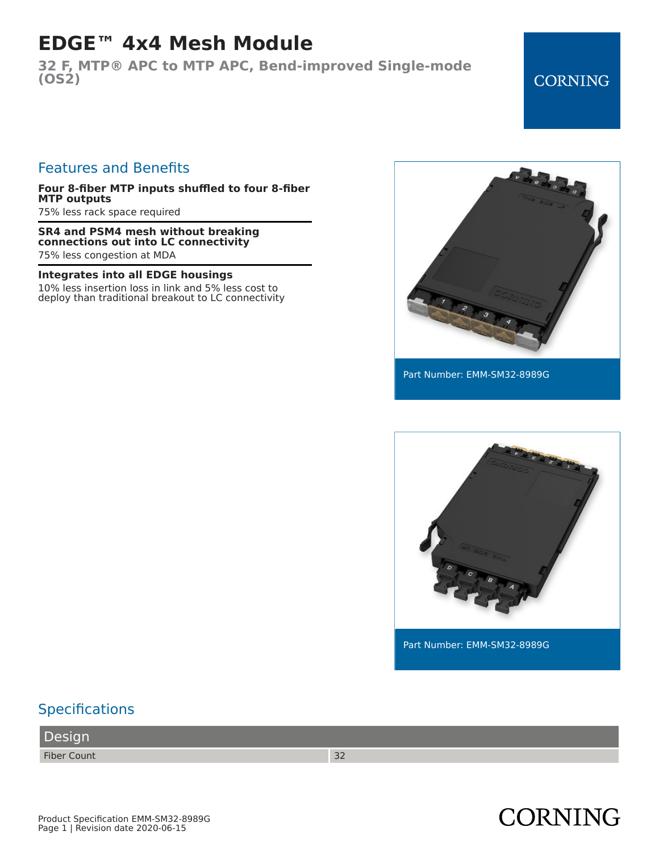# **EDGE™ 4x4 Mesh Module**

**32 F, MTP® APC to MTP APC, Bend-improved Single-mode (OS2)**

#### **CORNING**

#### Features and Benefits

**Four 8-fiber MTP inputs shuffled to four 8-fiber MTP outputs**

75% less rack space required

**SR4 and PSM4 mesh without breaking connections out into LC connectivity** 75% less congestion at MDA

#### **Integrates into all EDGE housings**

10% less insertion loss in link and 5% less cost to deploy than traditional breakout to LC connectivity



Part Number: EMM-SM32-8989G



**CORNING** 

### **Specifications**

Product Specification EMM-SM32-8989G Page 1 | Revision date 2020-06-15

Design

Fiber Count 32

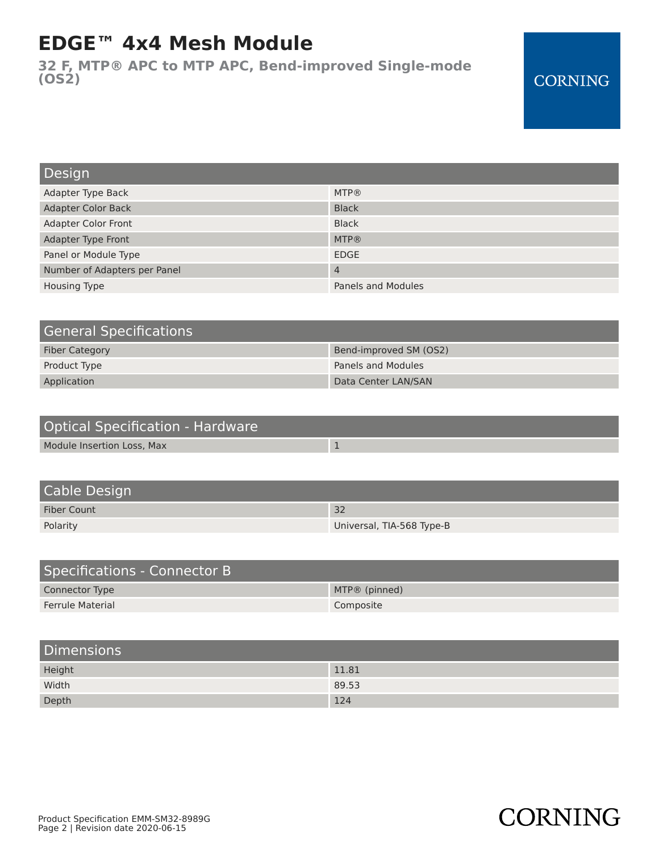# **EDGE™ 4x4 Mesh Module**

**32 F, MTP® APC to MTP APC, Bend-improved Single-mode (OS2)**

### **CORNING**

**CORNING** 

| Design                       |                           |
|------------------------------|---------------------------|
| Adapter Type Back            | <b>MTP®</b>               |
| <b>Adapter Color Back</b>    | <b>Black</b>              |
| <b>Adapter Color Front</b>   | <b>Black</b>              |
| Adapter Type Front           | <b>MTP®</b>               |
| Panel or Module Type         | <b>EDGE</b>               |
| Number of Adapters per Panel | $\overline{4}$            |
| <b>Housing Type</b>          | <b>Panels and Modules</b> |

| <b>General Specifications</b> |                        |
|-------------------------------|------------------------|
| <b>Fiber Category</b>         | Bend-improved SM (OS2) |
| Product Type                  | Panels and Modules     |
| Application                   | Data Center LAN/SAN    |

| Optical Specification - Hardware |  |
|----------------------------------|--|
| Module Insertion Loss, Max       |  |

| Cable Design       |                           |
|--------------------|---------------------------|
| <b>Fiber Count</b> | 32                        |
| Polarity           | Universal, TIA-568 Type-B |

| Specifications - Connector B |                 |
|------------------------------|-----------------|
| Connector Type               | $MTP@$ (pinned) |
| <b>Ferrule Material</b>      | Composite       |

| <b>Dimensions</b> |       |
|-------------------|-------|
| Height            | 11.81 |
| Width             | 89.53 |
| Depth             | 124   |